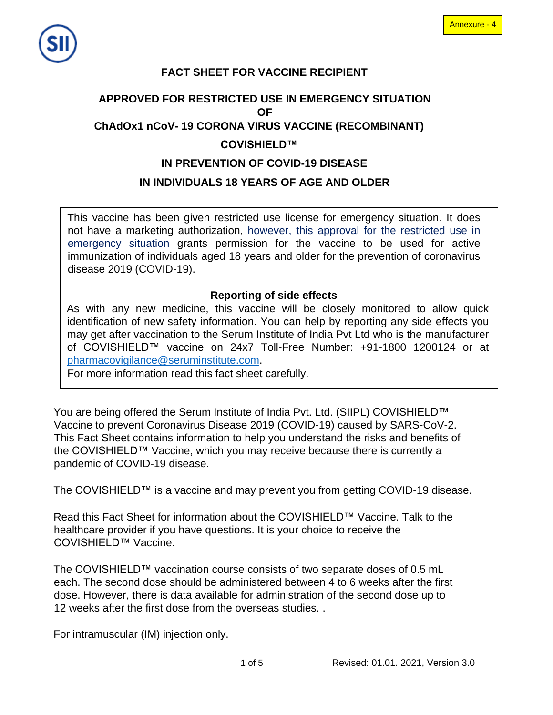

### **FACT SHEET FOR VACCINE RECIPIENT**

# **APPROVED FOR RESTRICTED USE IN EMERGENCY SITUATION OF ChAdOx1 nCoV- 19 CORONA VIRUS VACCINE (RECOMBINANT) COVISHIELD™ IN PREVENTION OF COVID-19 DISEASE**

#### **IN INDIVIDUALS 18 YEARS OF AGE AND OLDER**

This vaccine has been given restricted use license for emergency situation. It does not have a marketing authorization, however, this approval for the restricted use in emergency situation grants permission for the vaccine to be used for active immunization of individuals aged 18 years and older for the prevention of coronavirus disease 2019 (COVID-19).

#### **Reporting of side effects**

As with any new medicine, this vaccine will be closely monitored to allow quick identification of new safety information. You can help by reporting any side effects you may get after vaccination to the Serum Institute of India Pvt Ltd who is the manufacturer of COVISHIELD™ vaccine on 24x7 Toll-Free Number: +91-1800 1200124 or at pharmacovigilance@seruminstitute.com.

For more information read this fact sheet carefully.

You are being offered the Serum Institute of India Pvt. Ltd. (SIIPL) COVISHIELD™ Vaccine to prevent Coronavirus Disease 2019 (COVID-19) caused by SARS-CoV-2. This Fact Sheet contains information to help you understand the risks and benefits of the COVISHIELD™ Vaccine, which you may receive because there is currently a pandemic of COVID-19 disease.

The COVISHIELD™ is a vaccine and may prevent you from getting COVID-19 disease.

Read this Fact Sheet for information about the COVISHIELD™ Vaccine. Talk to the healthcare provider if you have questions. It is your choice to receive the COVISHIELD™ Vaccine.

The COVISHIELD™ vaccination course consists of two separate doses of 0.5 mL each. The second dose should be administered between 4 to 6 weeks after the first dose. However, there is data available for administration of the second dose up to 12 weeks after the first dose from the overseas studies. .

For intramuscular (IM) injection only.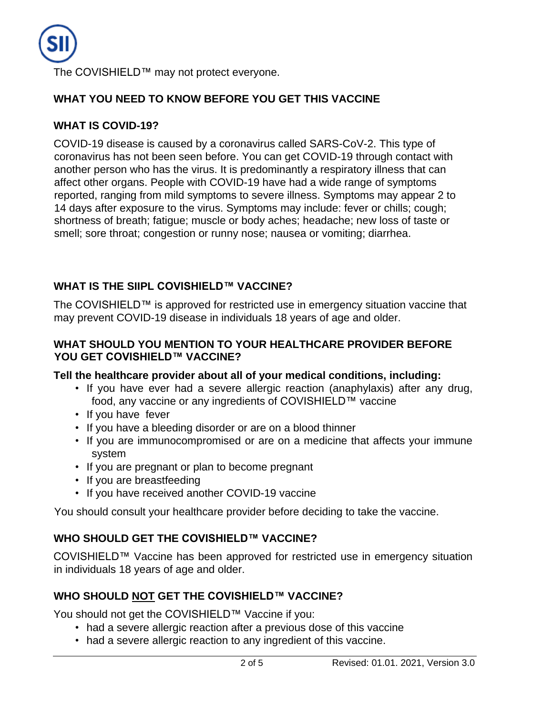

The COVISHIELD™ may not protect everyone.

#### **WHAT YOU NEED TO KNOW BEFORE YOU GET THIS VACCINE**

#### **WHAT IS COVID-19?**

COVID-19 disease is caused by a coronavirus called SARS-CoV-2. This type of coronavirus has not been seen before. You can get COVID-19 through contact with another person who has the virus. It is predominantly a respiratory illness that can affect other organs. People with COVID-19 have had a wide range of symptoms reported, ranging from mild symptoms to severe illness. Symptoms may appear 2 to 14 days after exposure to the virus. Symptoms may include: fever or chills; cough; shortness of breath; fatigue; muscle or body aches; headache; new loss of taste or smell; sore throat; congestion or runny nose; nausea or vomiting; diarrhea.

### **WHAT IS THE SIIPL COVISHIELD™ VACCINE?**

The COVISHIELD™ is approved for restricted use in emergency situation vaccine that may prevent COVID-19 disease in individuals 18 years of age and older.

#### **WHAT SHOULD YOU MENTION TO YOUR HEALTHCARE PROVIDER BEFORE YOU GET COVISHIELD™ VACCINE?**

#### **Tell the healthcare provider about all of your medical conditions, including:**

- If you have ever had a severe allergic reaction (anaphylaxis) after any drug, food, any vaccine or any ingredients of COVISHIELD™ vaccine
- If you have fever
- If you have a bleeding disorder or are on a blood thinner
- If you are immunocompromised or are on a medicine that affects your immune system
- If you are pregnant or plan to become pregnant
- If you are breastfeeding
- If you have received another COVID-19 vaccine

You should consult your healthcare provider before deciding to take the vaccine.

## **WHO SHOULD GET THE COVISHIELD™ VACCINE?**

COVISHIELD™ Vaccine has been approved for restricted use in emergency situation in individuals 18 years of age and older.

## **WHO SHOULD NOT GET THE COVISHIELD™ VACCINE?**

You should not get the COVISHIELD™ Vaccine if you:

- had a severe allergic reaction after a previous dose of this vaccine
- had a severe allergic reaction to any ingredient of this vaccine.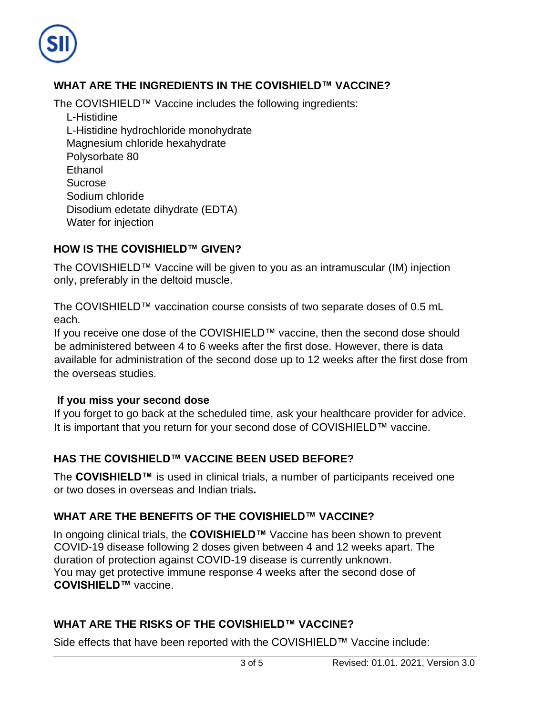

# **WHAT ARE THE INGREDIENTS IN THE COVISHIELD™ VACCINE?**

The COVISHIELD™ Vaccine includes the following ingredients:

L-Histidine L-Histidine hydrochloride monohydrate Magnesium chloride hexahydrate Polysorbate 80 Ethanol Sucrose Sodium chloride Disodium edetate dihydrate (EDTA) Water for injection

## **HOW IS THE COVISHIELD™ GIVEN?**

The COVISHIELD™ Vaccine will be given to you as an intramuscular (IM) injection only, preferably in the deltoid muscle.

The COVISHIELD™ vaccination course consists of two separate doses of 0.5 mL each.

If you receive one dose of the COVISHIELD™ vaccine, then the second dose should be administered between 4 to 6 weeks after the first dose. However, there is data available for administration of the second dose up to 12 weeks after the first dose from the overseas studies.

#### **If you miss your second dose**

If you forget to go back at the scheduled time, ask your healthcare provider for advice. It is important that you return for your second dose of COVISHIELD™ vaccine.

## **HAS THE COVISHIELD™ VACCINE BEEN USED BEFORE?**

The **COVISHIELD™** is used in clinical trials, a number of participants received one or two doses in overseas and Indian trials**.** 

## **WHAT ARE THE BENEFITS OF THE COVISHIELD™ VACCINE?**

In ongoing clinical trials, the **COVISHIELD™** Vaccine has been shown to prevent COVID-19 disease following 2 doses given between 4 and 12 weeks apart. The duration of protection against COVID-19 disease is currently unknown. You may get protective immune response 4 weeks after the second dose of **COVISHIELD™** vaccine.

# **WHAT ARE THE RISKS OF THE COVISHIELD™ VACCINE?**

Side effects that have been reported with the COVISHIELD™ Vaccine include: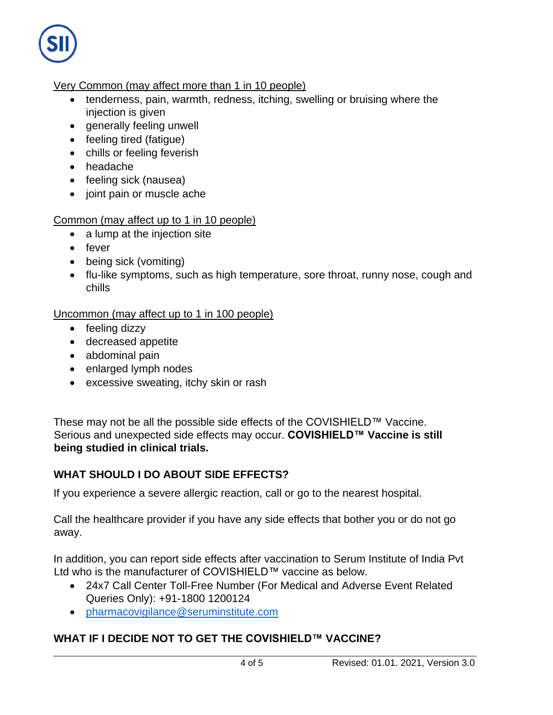|--|

# Very Common (may affect more than 1 in 10 people)

- tenderness, pain, warmth, redness, itching, swelling or bruising where the injection is given
- generally feeling unwell
- feeling tired (fatique)
- chills or feeling feverish
- headache
- feeling sick (nausea)
- joint pain or muscle ache

# Common (may affect up to 1 in 10 people)

- a lump at the injection site
- fever
- being sick (vomiting)
- flu-like symptoms, such as high temperature, sore throat, runny nose, cough and chills

# Uncommon (may affect up to 1 in 100 people)

- feeling dizzy
- decreased appetite
- abdominal pain
- enlarged lymph nodes
- excessive sweating, itchy skin or rash

These may not be all the possible side effects of the COVISHIELD™ Vaccine. Serious and unexpected side effects may occur. **COVISHIELD™ Vaccine is still being studied in clinical trials.** 

# **WHAT SHOULD I DO ABOUT SIDE EFFECTS?**

If you experience a severe allergic reaction, call or go to the nearest hospital.

Call the healthcare provider if you have any side effects that bother you or do not go away.

In addition, you can report side effects after vaccination to Serum Institute of India Pvt Ltd who is the manufacturer of COVISHIELD™ vaccine as below.

- 24x7 Call Center Toll-Free Number (For Medical and Adverse Event Related Queries Only): +91-1800 1200124
- pharmacovigilance@seruminstitute.com

# **WHAT IF I DECIDE NOT TO GET THE COVISHIELD™ VACCINE?**